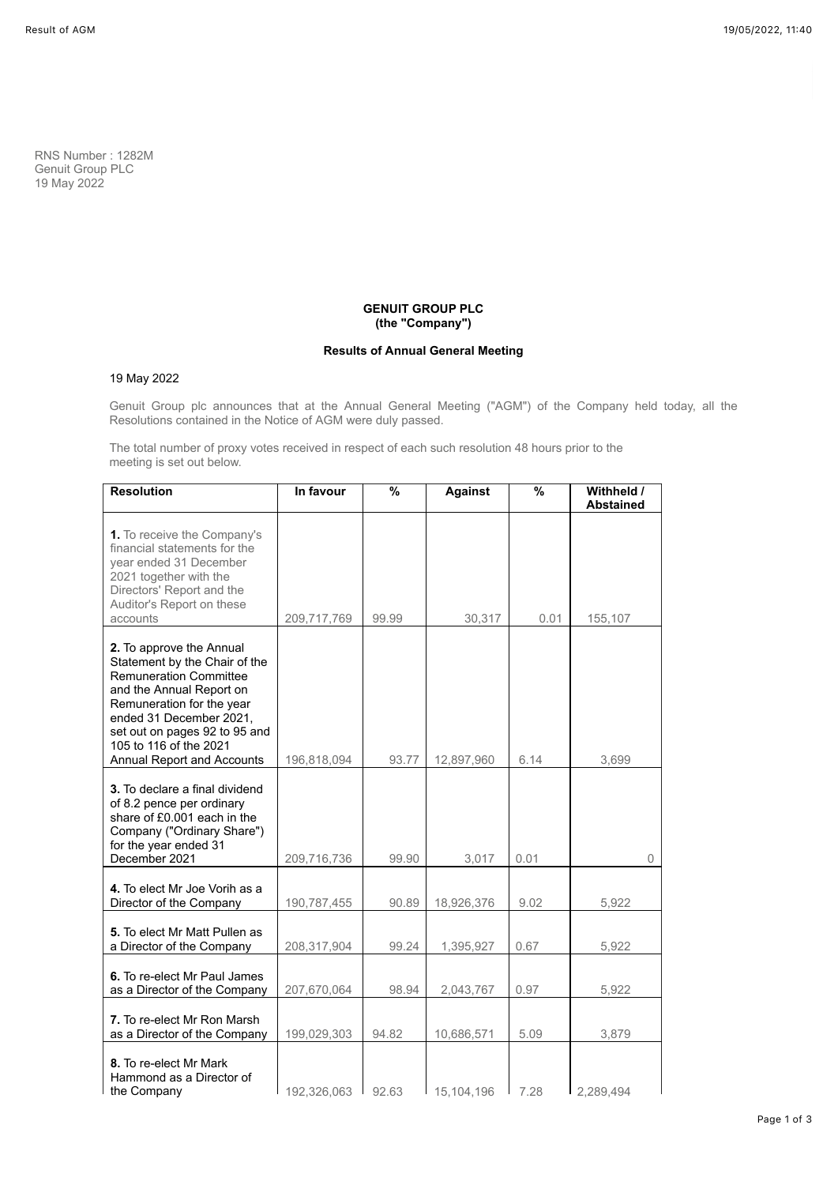RNS Number : 1282M Genuit Group PLC 19 May 2022

# **GENUIT GROUP PLC (the "Company")**

# **Results of Annual General Meeting**

# 19 May 2022

Genuit Group plc announces that at the Annual General Meeting ("AGM") of the Company held today, all the Resolutions contained in the Notice of AGM were duly passed.

The total number of proxy votes received in respect of each such resolution 48 hours prior to the meeting is set out below.

| <b>Resolution</b>                                                                                                                                                                                                                                                       | In favour   | %     | <b>Against</b> | $\overline{\frac{9}{6}}$ | Withheld /<br><b>Abstained</b> |
|-------------------------------------------------------------------------------------------------------------------------------------------------------------------------------------------------------------------------------------------------------------------------|-------------|-------|----------------|--------------------------|--------------------------------|
| 1. To receive the Company's<br>financial statements for the<br>year ended 31 December<br>2021 together with the<br>Directors' Report and the<br>Auditor's Report on these<br>accounts                                                                                   | 209,717,769 | 99.99 | 30,317         | 0.01                     | 155,107                        |
| 2. To approve the Annual<br>Statement by the Chair of the<br><b>Remuneration Committee</b><br>and the Annual Report on<br>Remuneration for the year<br>ended 31 December 2021,<br>set out on pages 92 to 95 and<br>105 to 116 of the 2021<br>Annual Report and Accounts | 196,818,094 | 93.77 | 12,897,960     | 6.14                     | 3,699                          |
| 3. To declare a final dividend<br>of 8.2 pence per ordinary<br>share of £0.001 each in the<br>Company ("Ordinary Share")<br>for the year ended 31<br>December 2021                                                                                                      | 209,716,736 | 99.90 | 3,017          | 0.01                     | 0                              |
| 4. To elect Mr Joe Vorih as a<br>Director of the Company                                                                                                                                                                                                                | 190,787,455 | 90.89 | 18,926,376     | 9.02                     | 5,922                          |
| 5. To elect Mr Matt Pullen as<br>a Director of the Company                                                                                                                                                                                                              | 208,317,904 | 99.24 | 1,395,927      | 0.67                     | 5,922                          |
| 6. To re-elect Mr Paul James<br>as a Director of the Company                                                                                                                                                                                                            | 207,670,064 | 98.94 | 2,043,767      | 0.97                     | 5,922                          |
| 7. To re-elect Mr Ron Marsh<br>as a Director of the Company                                                                                                                                                                                                             | 199,029,303 | 94.82 | 10,686,571     | 5.09                     | 3,879                          |
| 8. To re-elect Mr Mark<br>Hammond as a Director of<br>the Company                                                                                                                                                                                                       | 192,326,063 | 92.63 | 15,104,196     | 7.28                     | 2.289.494                      |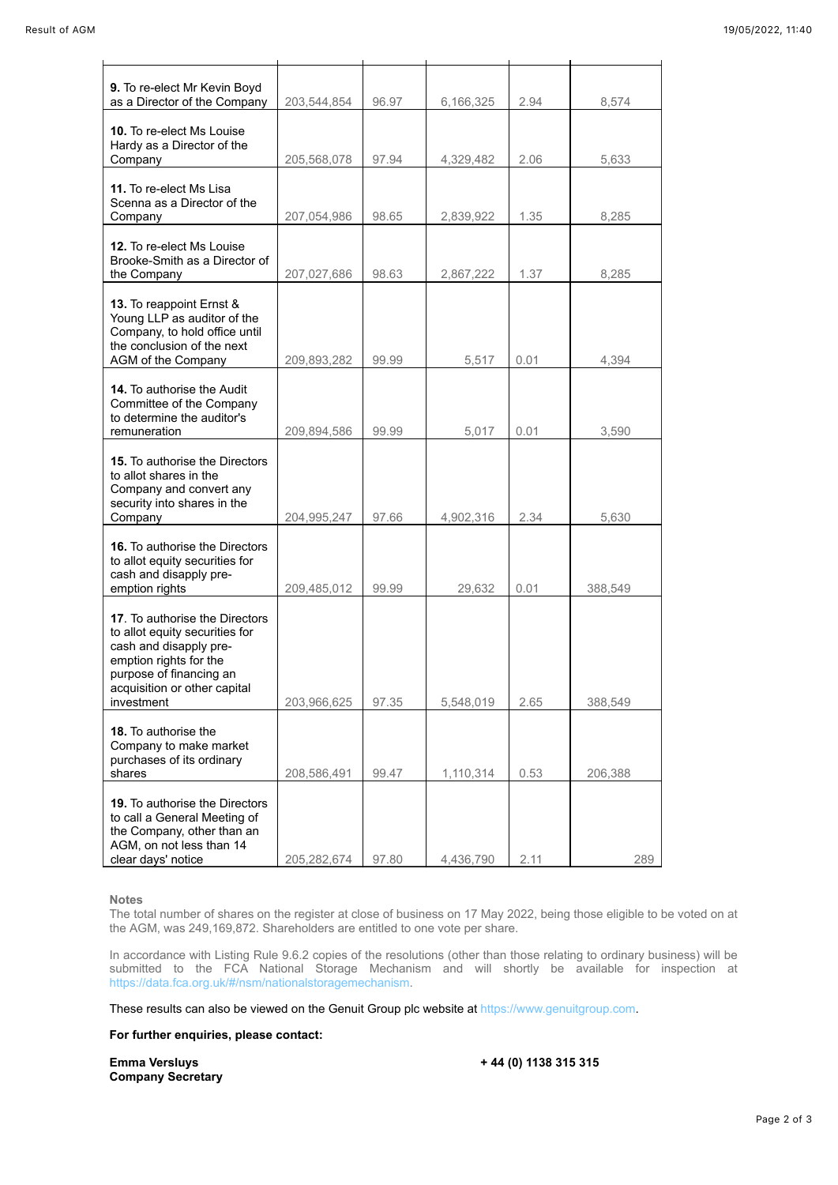| 9. To re-elect Mr Kevin Boyd<br>as a Director of the Company                                                                                                                                  | 203,544,854 | 96.97 | 6,166,325 | 2.94 | 8,574   |
|-----------------------------------------------------------------------------------------------------------------------------------------------------------------------------------------------|-------------|-------|-----------|------|---------|
| 10. To re-elect Ms Louise<br>Hardy as a Director of the<br>Company                                                                                                                            | 205,568,078 | 97.94 | 4,329,482 | 2.06 | 5.633   |
| 11. To re-elect Ms Lisa<br>Scenna as a Director of the<br>Company                                                                                                                             | 207,054,986 | 98.65 | 2,839,922 | 1.35 | 8,285   |
| 12. To re-elect Ms Louise<br>Brooke-Smith as a Director of<br>the Company                                                                                                                     | 207,027,686 | 98.63 | 2,867,222 | 1.37 | 8,285   |
| 13. To reappoint Ernst &<br>Young LLP as auditor of the<br>Company, to hold office until<br>the conclusion of the next<br>AGM of the Company                                                  | 209.893.282 | 99.99 | 5,517     | 0.01 | 4,394   |
| <b>14.</b> To authorise the Audit<br>Committee of the Company<br>to determine the auditor's<br>remuneration                                                                                   | 209,894,586 | 99.99 | 5,017     | 0.01 | 3,590   |
| <b>15.</b> To authorise the Directors<br>to allot shares in the<br>Company and convert any<br>security into shares in the<br>Company                                                          | 204,995,247 | 97.66 | 4,902,316 | 2.34 | 5,630   |
| 16. To authorise the Directors<br>to allot equity securities for<br>cash and disapply pre-<br>emption rights                                                                                  | 209,485,012 | 99.99 | 29,632    | 0.01 | 388,549 |
| 17. To authorise the Directors<br>to allot equity securities for<br>cash and disapply pre-<br>emption rights for the<br>purpose of financing an<br>acquisition or other capital<br>investment | 203,966,625 | 97.35 | 5,548,019 | 2.65 | 388,549 |
| 18. To authorise the<br>Company to make market<br>purchases of its ordinary<br>shares                                                                                                         | 208,586,491 | 99.47 | 1,110,314 | 0.53 | 206,388 |
| <b>19.</b> To authorise the Directors<br>to call a General Meeting of<br>the Company, other than an<br>AGM, on not less than 14<br>clear days' notice                                         | 205,282,674 | 97.80 | 4,436,790 | 2.11 | 289     |

### **Notes**

The total number of shares on the register at close of business on 17 May 2022, being those eligible to be voted on at the AGM, was 249,169,872. Shareholders are entitled to one vote per share.

In accordance with Listing Rule 9.6.2 copies of the resolutions (other than those relating to ordinary business) will be submitted to the FCA National Storage Mechanism and will shortly be available for inspection at <https://data.fca.org.uk/#/nsm/nationalstoragemechanism>.

These results can also be viewed on the Genuit Group plc website at [https://www.genuitgroup.com.](https://www.genuitgroup.com/)

# **For further enquiries, please contact:**

**Emma Versluys + 44 (0) 1138 315 315 Company Secretary**